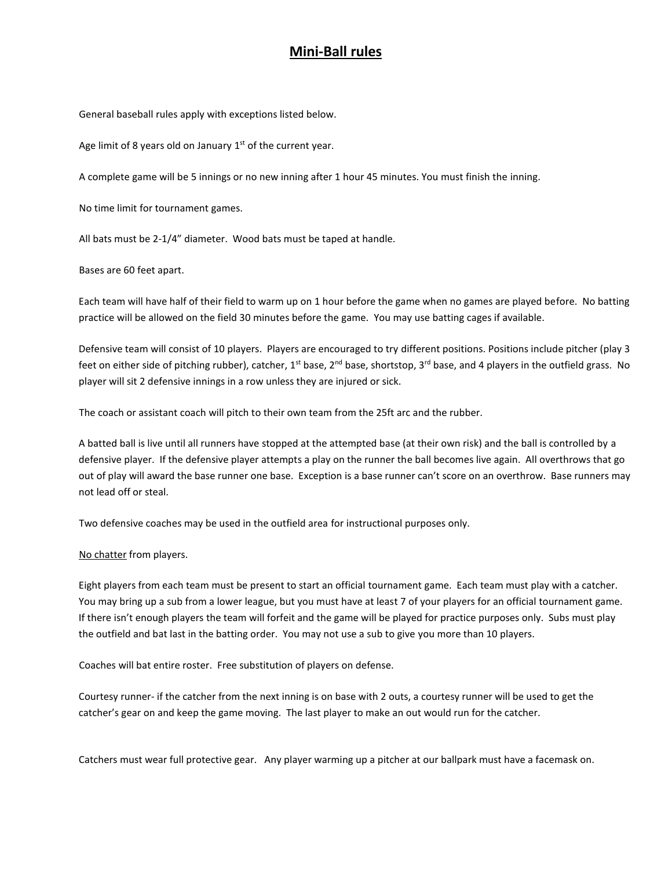## **Mini‐Ball rules**

General baseball rules apply with exceptions listed below.

Age limit of 8 years old on January  $1<sup>st</sup>$  of the current year.

A complete game will be 5 innings or no new inning after 1 hour 45 minutes. You must finish the inning.

No time limit for tournament games.

All bats must be 2‐1/4" diameter. Wood bats must be taped at handle.

Bases are 60 feet apart.

Each team will have half of their field to warm up on 1 hour before the game when no games are played before. No batting practice will be allowed on the field 30 minutes before the game. You may use batting cages if available.

Defensive team will consist of 10 players. Players are encouraged to try different positions. Positions include pitcher (play 3 feet on either side of pitching rubber), catcher,  $1^{st}$  base,  $2^{nd}$  base, shortstop,  $3^{rd}$  base, and 4 players in the outfield grass. No player will sit 2 defensive innings in a row unless they are injured or sick.

The coach or assistant coach will pitch to their own team from the 25ft arc and the rubber.

A batted ball is live until all runners have stopped at the attempted base (at their own risk) and the ball is controlled by a defensive player. If the defensive player attempts a play on the runner the ball becomes live again. All overthrows that go out of play will award the base runner one base. Exception is a base runner can't score on an overthrow. Base runners may not lead off or steal.

Two defensive coaches may be used in the outfield area for instructional purposes only.

No chatter from players.

Eight players from each team must be present to start an official tournament game. Each team must play with a catcher. You may bring up a sub from a lower league, but you must have at least 7 of your players for an official tournament game. If there isn't enough players the team will forfeit and the game will be played for practice purposes only. Subs must play the outfield and bat last in the batting order. You may not use a sub to give you more than 10 players.

Coaches will bat entire roster. Free substitution of players on defense.

 Courtesy runner‐ if the catcher from the next inning is on base with 2 outs, a courtesy runner will be used to get the catcher's gear on and keep the game moving. The last player to make an out would run for the catcher.

Catchers must wear full protective gear. Any player warming up a pitcher at our ballpark must have a facemask on.